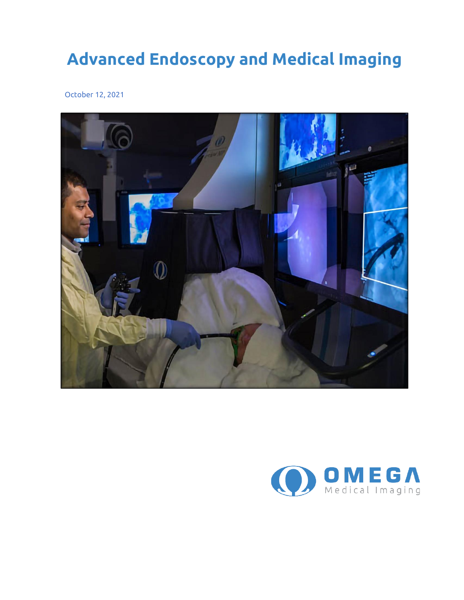## **Advanced Endoscopy and Medical Imaging**

October 12, 2021



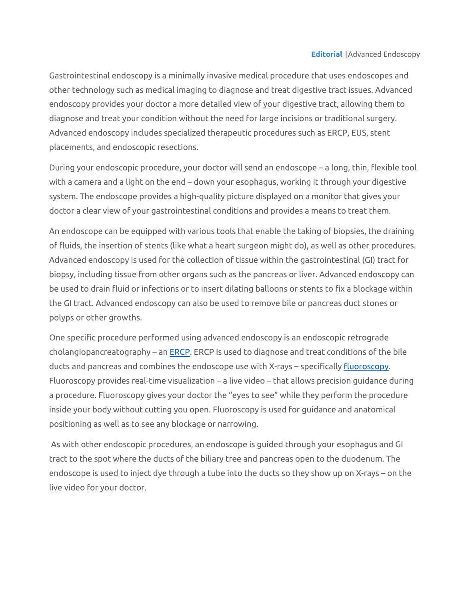Gastrointestinal endoscopy is a minimally invasive medical procedure that uses endoscopes and other technology such as medical imaging to diagnose and treat digestive tract issues. Advanced endoscopy provides your doctor a more detailed view of your digestive tract, allowing them to diagnose and treat your condition without the need for large incisions or traditional surgery. Advanced endoscopy includes specialized therapeutic procedures such as ERCP, EUS, stent placements, and endoscopic resections.

During your endoscopic procedure, your doctor will send an endoscope – a long, thin, flexible tool with a camera and a light on the end – down your esophagus, working it through your digestive system. The endoscope provides a high-quality picture displayed on a monitor that gives your doctor a clear view of your gastrointestinal conditions and provides a means to treat them.

An endoscope can be equipped with various tools that enable the taking of biopsies, the draining of fluids, the insertion of stents (like what a heart surgeon might do), as well as other procedures. Advanced endoscopy is used for the collection of tissue within the gastrointestinal (GI) tract for biopsy, including tissue from other organs such as the pancreas or liver. Advanced endoscopy can be used to drain fluid or infections or to insert dilating balloons or stents to fix a blockage within the GI tract. Advanced endoscopy can also be used to remove bile or pancreas duct stones or polyps or other growths.

One specific procedure performed using advanced endoscopy is an endoscopic retrograde cholangiopancreatography – an  $ERCP$ . ERCP is used to diagnose and treat conditions of the bile ducts and pancreas and combines the endoscope use with X-rays – specificall[y fluoroscopy.](https://www.fda.gov/radiation-emitting-products/medical-x-ray-imaging/fluoroscopy) Fluoroscopy provides real-time visualization – a live video – that allows precision guidance during a procedure. Fluoroscopy gives your doctor the "eyes to see" while they perform the procedure inside your body without cutting you open. Fluoroscopy is used for guidance and anatomical positioning as well as to see any blockage or narrowing.

As with other endoscopic procedures, an endoscope is guided through your esophagus and GI tract to the spot where the ducts of the biliary tree and pancreas open to the duodenum. The endoscope is used to inject dye through a tube into the ducts so they show up on X-rays – on the live video for your doctor.